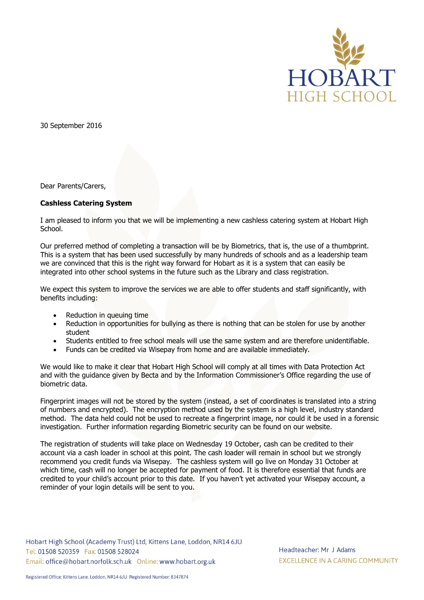

30 September 2016

Dear Parents/Carers,

## **Cashless Catering System**

I am pleased to inform you that we will be implementing a new cashless catering system at Hobart High School.

Our preferred method of completing a transaction will be by Biometrics, that is, the use of a thumbprint. This is a system that has been used successfully by many hundreds of schools and as a leadership team we are convinced that this is the right way forward for Hobart as it is a system that can easily be integrated into other school systems in the future such as the Library and class registration.

We expect this system to improve the services we are able to offer students and staff significantly, with benefits including:

- Reduction in queuing time
- Reduction in opportunities for bullying as there is nothing that can be stolen for use by another student
- Students entitled to free school meals will use the same system and are therefore unidentifiable.
- Funds can be credited via Wisepay from home and are available immediately.

We would like to make it clear that Hobart High School will comply at all times with Data Protection Act and with the guidance given by Becta and by the Information Commissioner's Office regarding the use of biometric data.

Fingerprint images will not be stored by the system (instead, a set of coordinates is translated into a string of numbers and encrypted). The encryption method used by the system is a high level, industry standard method. The data held could not be used to recreate a fingerprint image, nor could it be used in a forensic investigation. Further information regarding Biometric security can be found on our website.

The registration of students will take place on Wednesday 19 October, cash can be credited to their account via a cash loader in school at this point. The cash loader will remain in school but we strongly recommend you credit funds via Wisepay. The cashless system will go live on Monday 31 October at which time, cash will no longer be accepted for payment of food. It is therefore essential that funds are credited to your child's account prior to this date. If you haven't yet activated your Wisepay account, a reminder of your login details will be sent to you.